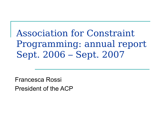### Association for Constraint Programming: annual report Sept. 2006 – Sept. 2007

Francesca Rossi President of the ACP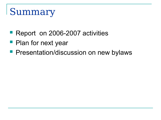# **Summary**

- Report on 2006-2007 activities
- **Plan for next year**
- **Presentation/discussion on new bylaws**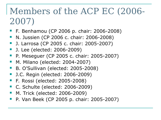### Members of the ACP EC (2006- 2007)

- F. Benhamou (CP 2006 p. chair: 2006-2008)
- **N. Jussien (CP 2006 c. chair: 2006-2008)**
- J. Larrosa (CP 2005 c. chair: 2005-2007)
- J. Lee (elected: 2006-2009)
- **P. Meseguer (CP 2005 c. chair: 2005-2007)**
- **M. Milano (elected: 2004-2007)**
- B. O'Sullivan (elected: 2005-2008)
- J.C. Regin (elected: 2006-2009)
- F. Rossi (elected: 2005-2008)
- C. Schulte (elected: 2006-2009)
- **M. Trick (elected: 2006-2009)**
- P. Van Beek (CP 2005 p. chair: 2005-2007)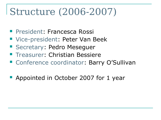# Structure (2006-2007)

- **President: Francesca Rossi**
- Vice-president: Peter Van Beek
- **Secretary: Pedro Mesequer**
- **Treasurer: Christian Bessiere**
- Conference coordinator: Barry O'Sullivan
- **Appointed in October 2007 for 1 year**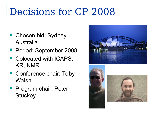# Decisions for CP 2008

- Chosen bid: Sydney, Australia
- **Period: September 2008**
- **Colocated with ICAPS,** KR, NMR
- Conference chair: Toby Walsh
- **Program chair: Peter Stuckey**



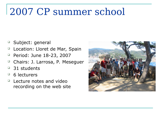# 2007 CP summer school

- Subject: general
- □ Location: Lloret de Mar, Spain
- <sup>D</sup> Period: June 18-23, 2007
- □ Chairs: J. Larrosa, P. Meseguer
- $\Box$  31 students
- $\Box$  6 lecturers
- $\Box$  Lecture notes and video recording on the web site

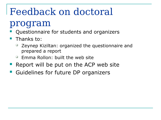# Feedback on doctoral

### program

- Questionnaire for students and organizers
- $\blacksquare$  Thanks to:
	- $\Box$  Zeynep Kiziltan: organized the questionnaire and prepared a report
	- $\Box$  Emma Rollon: built the web site
- **Report will be put on the ACP web site**
- Guidelines for future DP organizers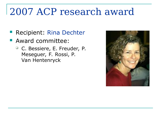# 2007 ACP research award

- **Recipient: Rina Dechter**
- **Award committee:** 
	- □ C. Bessiere, E. Freuder, P. Meseguer, F. Rossi, P. Van Hentenryck

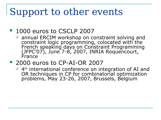# Support to other events

#### **1000 euros to CSCLP 2007**

- $\Box$  annual ERCIM workshop on constraint solving and constraint logic programming, colocated with the French speaking days on Constraint Programming (JFPC'07), June 7-8, 2007, INRIA Roquencourt, France
- **2000 euros to CP-AI-OR 2007** 
	- $\Box$  4<sup>th</sup> international conference on integration of AI and OR techniques in CP for combinatorial optimization problems, May 23-26, 2007, Brussels, Belgium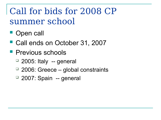### Call for bids for 2008 CP summer school

- **Open call**
- Call ends on October 31, 2007
- **Previous schools** 
	- $\Box$  2005: Italy -- general
	- $\Box$  2006: Greece global constraints
	- <sup>1</sup> 2007: Spain -- general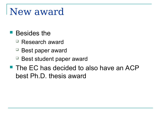### New award

#### **Besides the**

- Research award
- $\Box$  Best paper award
- $\Box$  Best student paper award
- **The EC has decided to also have an ACP** best Ph.D. thesis award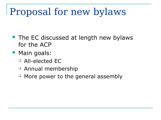# Proposal for new bylaws

- **The EC discussed at length new bylaws** for the ACP
- **Main goals:** 
	- All-elected EC
	- Annual membership
	- More power to the general assembly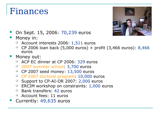### Finances



- On Sept. 15, 2006: 70,239 euros
- **Money in:** 
	- $\Box$  Account interests 2006: 1,511 euros
	- $\Box$  CP 2006 loan back (5,000 euros) + profit (3,466 euros): 8,466 euros
- **Money out:** 
	- ACP EC dinner at CP 2006: 329 euros
	- <sup>1</sup> 2007 summer school: 3,700 euros
	- $\Box$  CP 2007 seed money: 13,500 euros
	- CP 2007 doctoral program: 10,000 euros
	- □ Support to CP-AI-OR 2007: 2,000 euros
	- $\Box$  ERCIM workshop on constraints: 1,000 euros
	- $\Box$  Bank transfers: 42 euros
	- $\Box$  Account fees: 11 euros
- Currently: 49,635 euros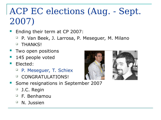### ACP EC elections (Aug. - Sept. 2007)

- Ending their term at CP 2007:
	- P. Van Beek, J. Larrosa, P. Meseguer, M. Milano
	- <sup>D</sup> THANKS!
- Two open positions
- 145 people voted
- **Elected:** 
	- P. Meseguer, T. Schiex
	- <sup>D</sup> CONGRATULATIONS!
- **Some resignations in September 2007** 
	- □ J.C. Regin
	- $\Box$  F. Benhamou
	- N. Jussien



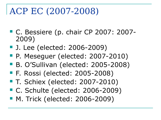### ACP EC (2007-2008)

- C. Bessiere (p. chair CP 2007: 2007-2009)
- J. Lee (elected: 2006-2009)
- **P. Mesequer (elected: 2007-2010)**
- B. O'Sullivan (elected: 2005-2008)
- F. Rossi (elected: 2005-2008)
- T. Schiex (elected: 2007-2010)
- C. Schulte (elected: 2006-2009)
- M. Trick (elected: 2006-2009)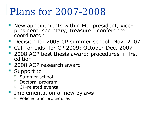### Plans for 2007-2008

- New appointments within EC: president, vicepresident, secretary, treasurer, conference coordinator
- Decision for 2008 CP summer school: Nov. 2007
- Call for bids for CP 2009: October-Dec. 2007
- 2008 ACP best thesis award: procedures + first edition
- 2008 ACP research award
- Support to
	- <sup>D</sup> Summer school
	- □ Doctoral program
	- $\Box$  CP-related events
- Implementation of new bylaws
	- $\Box$  Policies and procedures